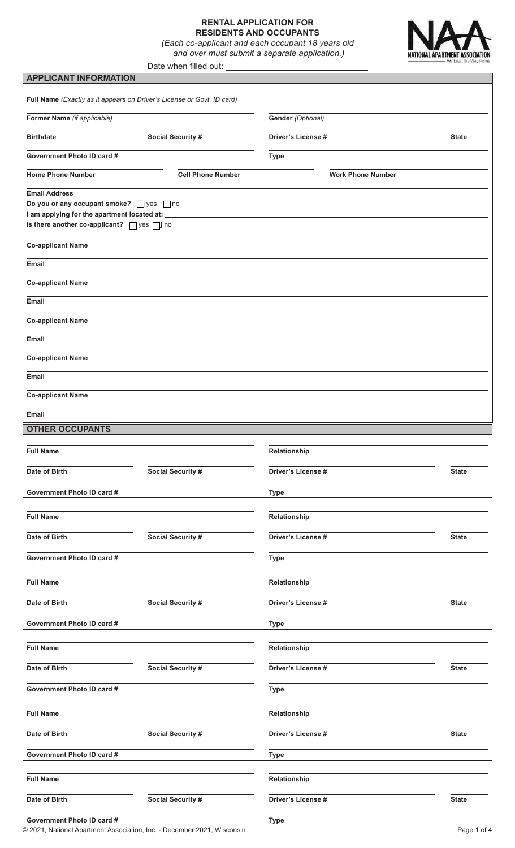# **RENTAL APPLICATION FOR RESIDENTS AND OCCUPANTS**

*(Each co-applicant and each occupant 18 years old and over must submit a separate application.)*



|                                                                                        | Date when filled out: |
|----------------------------------------------------------------------------------------|-----------------------|
| <b>APPLICANT INFORMATION</b>                                                           |                       |
|                                                                                        |                       |
| <b>Full Name</b> ( <i>Exactly as it appears on Driver's License or Govt. ID card</i> ) |                       |
| <b>Former Name</b> (if applicable)                                                     |                       |

| Former Name (if applicable)                                                                  |                          | Gender (Optional)        |              |
|----------------------------------------------------------------------------------------------|--------------------------|--------------------------|--------------|
| Social Security #<br><b>Birthdate</b>                                                        |                          | Driver's License #       |              |
| Government Photo ID card #                                                                   |                          | <b>Type</b>              |              |
| <b>Home Phone Number</b>                                                                     | <b>Cell Phone Number</b> | <b>Work Phone Number</b> |              |
| <b>Email Address</b>                                                                         |                          |                          |              |
| Do you or any occupant smoke? yes no                                                         |                          |                          |              |
| I am applying for the apartment located at: _<br>Is there another co-applicant? Some Suppose |                          |                          |              |
| <b>Co-applicant Name</b>                                                                     |                          |                          |              |
| Email                                                                                        |                          |                          |              |
| <b>Co-applicant Name</b>                                                                     |                          |                          |              |
| Email                                                                                        |                          |                          |              |
| <b>Co-applicant Name</b>                                                                     |                          |                          |              |
| Email                                                                                        |                          |                          |              |
| <b>Co-applicant Name</b>                                                                     |                          |                          |              |
| Email                                                                                        |                          |                          |              |
| <b>Co-applicant Name</b><br>Email                                                            |                          |                          |              |
| <b>OTHER OCCUPANTS</b>                                                                       |                          |                          |              |
|                                                                                              |                          |                          |              |
| <b>Full Name</b>                                                                             |                          | Relationship             |              |
| Date of Birth                                                                                | <b>Social Security #</b> | Driver's License #       | <b>State</b> |
| Government Photo ID card #                                                                   |                          | <b>Type</b>              |              |
| <b>Full Name</b>                                                                             |                          | Relationship             |              |
| Date of Birth                                                                                | Social Security #        | Driver's License #       | <b>State</b> |
| Government Photo ID card #                                                                   |                          | <b>Type</b>              |              |
|                                                                                              |                          |                          |              |
| <b>Full Name</b>                                                                             |                          | Relationship             |              |
| Date of Birth                                                                                | Social Security #        | Driver's License #       | <b>State</b> |
| Government Photo ID card #                                                                   |                          | <b>Type</b>              |              |
| <b>Full Name</b>                                                                             |                          | Relationship             |              |
| Date of Birth                                                                                | Social Security #        | Driver's License #       | <b>State</b> |
| Government Photo ID card #                                                                   |                          | <b>Type</b>              |              |
| <b>Full Name</b>                                                                             |                          | Relationship             |              |
|                                                                                              |                          |                          |              |
| Date of Birth                                                                                | Social Security #        | Driver's License #       | <b>State</b> |
| Government Photo ID card #                                                                   |                          | <b>Type</b>              |              |
| <b>Full Name</b>                                                                             |                          | Relationship             |              |
| Date of Birth                                                                                | Social Security #        | Driver's License #       | <b>State</b> |
| Government Photo ID card #                                                                   |                          | <b>Type</b>              |              |

© 2021, National Apartment Association, Inc. - December 2021, Wisconsin Page 1 of 4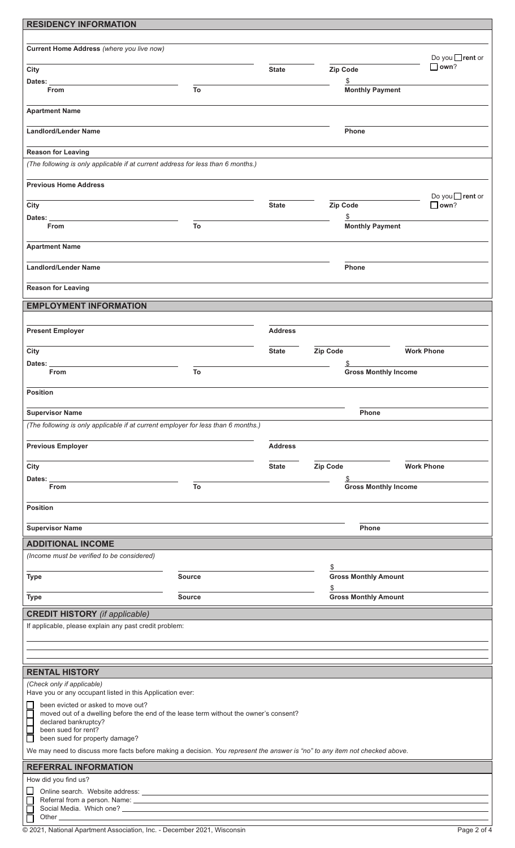| <b>RESIDENCY INFORMATION</b>                                                                                                |               |                |                                   |                               |
|-----------------------------------------------------------------------------------------------------------------------------|---------------|----------------|-----------------------------------|-------------------------------|
|                                                                                                                             |               |                |                                   |                               |
| Current Home Address (where you live now)                                                                                   |               |                |                                   | Do you <b>Trent</b> or        |
| City                                                                                                                        |               | <b>State</b>   | Zip Code                          | $\Box$ own?                   |
| Dates:                                                                                                                      |               |                | \$                                |                               |
| <b>From</b>                                                                                                                 | To            |                | <b>Monthly Payment</b>            |                               |
| <b>Apartment Name</b>                                                                                                       |               |                |                                   |                               |
|                                                                                                                             |               |                |                                   |                               |
| <b>Landlord/Lender Name</b>                                                                                                 |               |                | Phone                             |                               |
| <b>Reason for Leaving</b>                                                                                                   |               |                |                                   |                               |
| (The following is only applicable if at current address for less than 6 months.)                                            |               |                |                                   |                               |
|                                                                                                                             |               |                |                                   |                               |
| <b>Previous Home Address</b>                                                                                                |               |                |                                   |                               |
| City                                                                                                                        |               | <b>State</b>   | Zip Code                          | Do you rent or<br>$\Box$ own? |
| Dates:                                                                                                                      |               |                | \$                                |                               |
| <b>From</b>                                                                                                                 | To            |                | <b>Monthly Payment</b>            |                               |
| <b>Apartment Name</b>                                                                                                       |               |                |                                   |                               |
|                                                                                                                             |               |                |                                   |                               |
| <b>Landlord/Lender Name</b>                                                                                                 |               |                | Phone                             |                               |
|                                                                                                                             |               |                |                                   |                               |
| <b>Reason for Leaving</b>                                                                                                   |               |                |                                   |                               |
| <b>EMPLOYMENT INFORMATION</b>                                                                                               |               |                |                                   |                               |
|                                                                                                                             |               |                |                                   |                               |
| <b>Present Employer</b>                                                                                                     |               | <b>Address</b> |                                   |                               |
| City                                                                                                                        |               | <b>State</b>   | Zip Code                          | <b>Work Phone</b>             |
| Dates:                                                                                                                      |               |                |                                   |                               |
| <b>From</b>                                                                                                                 | To            |                |                                   | <b>Gross Monthly Income</b>   |
| <b>Position</b>                                                                                                             |               |                |                                   |                               |
|                                                                                                                             |               |                |                                   |                               |
| <b>Supervisor Name</b>                                                                                                      |               |                | Phone                             |                               |
| (The following is only applicable if at current employer for less than 6 months.)                                           |               |                |                                   |                               |
|                                                                                                                             |               |                |                                   |                               |
| <b>Previous Employer</b>                                                                                                    |               | <b>Address</b> |                                   |                               |
| City                                                                                                                        |               | <b>State</b>   | Zip Code                          | <b>Work Phone</b>             |
| Dates:                                                                                                                      |               |                |                                   |                               |
| From                                                                                                                        | To            |                |                                   | <b>Gross Monthly Income</b>   |
| <b>Position</b>                                                                                                             |               |                |                                   |                               |
|                                                                                                                             |               |                |                                   |                               |
| <b>Supervisor Name</b>                                                                                                      |               |                | Phone                             |                               |
| <b>ADDITIONAL INCOME</b>                                                                                                    |               |                |                                   |                               |
| (Income must be verified to be considered)                                                                                  |               |                |                                   |                               |
| <b>Type</b>                                                                                                                 | <b>Source</b> |                | \$<br><b>Gross Monthly Amount</b> |                               |
|                                                                                                                             |               |                | \$                                |                               |
| <b>Type</b>                                                                                                                 | <b>Source</b> |                | <b>Gross Monthly Amount</b>       |                               |
| <b>CREDIT HISTORY</b> (if applicable)                                                                                       |               |                |                                   |                               |
| If applicable, please explain any past credit problem:                                                                      |               |                |                                   |                               |
|                                                                                                                             |               |                |                                   |                               |
|                                                                                                                             |               |                |                                   |                               |
|                                                                                                                             |               |                |                                   |                               |
| <b>RENTAL HISTORY</b>                                                                                                       |               |                |                                   |                               |
| (Check only if applicable)<br>Have you or any occupant listed in this Application ever:                                     |               |                |                                   |                               |
| been evicted or asked to move out?                                                                                          |               |                |                                   |                               |
| Г<br>moved out of a dwelling before the end of the lease term without the owner's consent?<br>declared bankruptcy?          |               |                |                                   |                               |
| E<br>been sued for rent?                                                                                                    |               |                |                                   |                               |
| been sued for property damage?                                                                                              |               |                |                                   |                               |
| We may need to discuss more facts before making a decision. You represent the answer is "no" to any item not checked above. |               |                |                                   |                               |
| <b>REFERRAL INFORMATION</b>                                                                                                 |               |                |                                   |                               |
| How did you find us?                                                                                                        |               |                |                                   |                               |
| □                                                                                                                           |               |                |                                   |                               |
| ⊏<br>Ē                                                                                                                      |               |                |                                   |                               |
| Other ___                                                                                                                   |               |                |                                   |                               |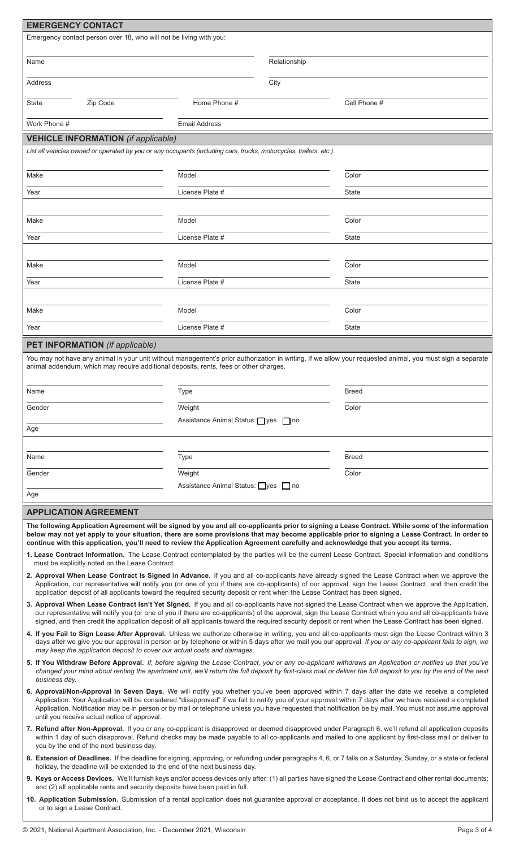|     | <b>EMERGENCY CONTACT</b>                                                                                                                                                                                                                                                                                                                                                                                                                                                                                            |                                            |              |                                                                                                                                                                                                                                                                                                                                                                                                                                                                             |  |  |  |
|-----|---------------------------------------------------------------------------------------------------------------------------------------------------------------------------------------------------------------------------------------------------------------------------------------------------------------------------------------------------------------------------------------------------------------------------------------------------------------------------------------------------------------------|--------------------------------------------|--------------|-----------------------------------------------------------------------------------------------------------------------------------------------------------------------------------------------------------------------------------------------------------------------------------------------------------------------------------------------------------------------------------------------------------------------------------------------------------------------------|--|--|--|
|     | Emergency contact person over 18, who will not be living with you:                                                                                                                                                                                                                                                                                                                                                                                                                                                  |                                            |              |                                                                                                                                                                                                                                                                                                                                                                                                                                                                             |  |  |  |
|     |                                                                                                                                                                                                                                                                                                                                                                                                                                                                                                                     |                                            |              |                                                                                                                                                                                                                                                                                                                                                                                                                                                                             |  |  |  |
|     | Name                                                                                                                                                                                                                                                                                                                                                                                                                                                                                                                |                                            | Relationship |                                                                                                                                                                                                                                                                                                                                                                                                                                                                             |  |  |  |
|     | Address                                                                                                                                                                                                                                                                                                                                                                                                                                                                                                             |                                            | City         |                                                                                                                                                                                                                                                                                                                                                                                                                                                                             |  |  |  |
|     | Zip Code<br>State                                                                                                                                                                                                                                                                                                                                                                                                                                                                                                   | Home Phone #                               |              | Cell Phone #                                                                                                                                                                                                                                                                                                                                                                                                                                                                |  |  |  |
|     | Work Phone #                                                                                                                                                                                                                                                                                                                                                                                                                                                                                                        | <b>Email Address</b>                       |              |                                                                                                                                                                                                                                                                                                                                                                                                                                                                             |  |  |  |
|     | <b>VEHICLE INFORMATION</b> (if applicable)                                                                                                                                                                                                                                                                                                                                                                                                                                                                          |                                            |              |                                                                                                                                                                                                                                                                                                                                                                                                                                                                             |  |  |  |
|     | List all vehicles owned or operated by you or any occupants (including cars, trucks, motorcycles, trailers, etc.).                                                                                                                                                                                                                                                                                                                                                                                                  |                                            |              |                                                                                                                                                                                                                                                                                                                                                                                                                                                                             |  |  |  |
|     |                                                                                                                                                                                                                                                                                                                                                                                                                                                                                                                     |                                            |              |                                                                                                                                                                                                                                                                                                                                                                                                                                                                             |  |  |  |
|     | Make                                                                                                                                                                                                                                                                                                                                                                                                                                                                                                                | Model                                      |              | Color                                                                                                                                                                                                                                                                                                                                                                                                                                                                       |  |  |  |
|     | Year                                                                                                                                                                                                                                                                                                                                                                                                                                                                                                                | License Plate #                            |              | <b>State</b>                                                                                                                                                                                                                                                                                                                                                                                                                                                                |  |  |  |
|     |                                                                                                                                                                                                                                                                                                                                                                                                                                                                                                                     |                                            |              |                                                                                                                                                                                                                                                                                                                                                                                                                                                                             |  |  |  |
|     | Make                                                                                                                                                                                                                                                                                                                                                                                                                                                                                                                | Model                                      |              | Color                                                                                                                                                                                                                                                                                                                                                                                                                                                                       |  |  |  |
|     | Year                                                                                                                                                                                                                                                                                                                                                                                                                                                                                                                | License Plate #                            |              | State                                                                                                                                                                                                                                                                                                                                                                                                                                                                       |  |  |  |
|     |                                                                                                                                                                                                                                                                                                                                                                                                                                                                                                                     |                                            |              |                                                                                                                                                                                                                                                                                                                                                                                                                                                                             |  |  |  |
|     | Make                                                                                                                                                                                                                                                                                                                                                                                                                                                                                                                | Model                                      |              | Color                                                                                                                                                                                                                                                                                                                                                                                                                                                                       |  |  |  |
|     | Year                                                                                                                                                                                                                                                                                                                                                                                                                                                                                                                | License Plate #                            |              | State                                                                                                                                                                                                                                                                                                                                                                                                                                                                       |  |  |  |
|     |                                                                                                                                                                                                                                                                                                                                                                                                                                                                                                                     |                                            |              |                                                                                                                                                                                                                                                                                                                                                                                                                                                                             |  |  |  |
|     | Make                                                                                                                                                                                                                                                                                                                                                                                                                                                                                                                | Model                                      |              | Color                                                                                                                                                                                                                                                                                                                                                                                                                                                                       |  |  |  |
|     | Year                                                                                                                                                                                                                                                                                                                                                                                                                                                                                                                | License Plate #                            |              | <b>State</b>                                                                                                                                                                                                                                                                                                                                                                                                                                                                |  |  |  |
|     | <b>PET INFORMATION</b> (if applicable)                                                                                                                                                                                                                                                                                                                                                                                                                                                                              |                                            |              |                                                                                                                                                                                                                                                                                                                                                                                                                                                                             |  |  |  |
|     | animal addendum, which may require additional deposits, rents, fees or other charges.                                                                                                                                                                                                                                                                                                                                                                                                                               |                                            |              | You may not have any animal in your unit without management's prior authorization in writing. If we allow your requested animal, you must sign a separate                                                                                                                                                                                                                                                                                                                   |  |  |  |
|     | Name                                                                                                                                                                                                                                                                                                                                                                                                                                                                                                                | <b>Type</b>                                |              | <b>Breed</b>                                                                                                                                                                                                                                                                                                                                                                                                                                                                |  |  |  |
|     | Gender                                                                                                                                                                                                                                                                                                                                                                                                                                                                                                              | Weight                                     |              | Color                                                                                                                                                                                                                                                                                                                                                                                                                                                                       |  |  |  |
|     |                                                                                                                                                                                                                                                                                                                                                                                                                                                                                                                     | Assistance Animal Status: ness no          |              |                                                                                                                                                                                                                                                                                                                                                                                                                                                                             |  |  |  |
| Age |                                                                                                                                                                                                                                                                                                                                                                                                                                                                                                                     |                                            |              |                                                                                                                                                                                                                                                                                                                                                                                                                                                                             |  |  |  |
|     | Name                                                                                                                                                                                                                                                                                                                                                                                                                                                                                                                | Type                                       |              | <b>Breed</b>                                                                                                                                                                                                                                                                                                                                                                                                                                                                |  |  |  |
|     |                                                                                                                                                                                                                                                                                                                                                                                                                                                                                                                     |                                            |              |                                                                                                                                                                                                                                                                                                                                                                                                                                                                             |  |  |  |
|     | Gender                                                                                                                                                                                                                                                                                                                                                                                                                                                                                                              | Weight<br>Assistance Animal Status: yes no |              | Color                                                                                                                                                                                                                                                                                                                                                                                                                                                                       |  |  |  |
| Age |                                                                                                                                                                                                                                                                                                                                                                                                                                                                                                                     |                                            |              |                                                                                                                                                                                                                                                                                                                                                                                                                                                                             |  |  |  |
|     | <b>APPLICATION AGREEMENT</b>                                                                                                                                                                                                                                                                                                                                                                                                                                                                                        |                                            |              |                                                                                                                                                                                                                                                                                                                                                                                                                                                                             |  |  |  |
|     | continue with this application, you'll need to review the Application Agreement carefully and acknowledge that you accept its terms.<br>must be explicitly noted on the Lease Contract.                                                                                                                                                                                                                                                                                                                             |                                            |              | The following Application Agreement will be signed by you and all co-applicants prior to signing a Lease Contract. While some of the information<br>below may not yet apply to your situation, there are some provisions that may become applicable prior to signing a Lease Contract. In order to<br>1. Lease Contract Information. The Lease Contract contemplated by the parties will be the current Lease Contract. Special information and conditions                  |  |  |  |
|     | application deposit of all applicants toward the required security deposit or rent when the Lease Contract has been signed.                                                                                                                                                                                                                                                                                                                                                                                         |                                            |              | 2. Approval When Lease Contract Is Signed in Advance. If you and all co-applicants have already signed the Lease Contract when we approve the<br>Application, our representative will notify you (or one of you if there are co-applicants) of our approval, sign the Lease Contract, and then credit the                                                                                                                                                                   |  |  |  |
|     |                                                                                                                                                                                                                                                                                                                                                                                                                                                                                                                     |                                            |              | 3. Approval When Lease Contract Isn't Yet Signed. If you and all co-applicants have not signed the Lease Contract when we approve the Application,<br>our representative will notify you (or one of you if there are co-applicants) of the approval, sign the Lease Contract when you and all co-applicants have<br>signed, and then credit the application deposit of all applicants toward the required security deposit or rent when the Lease Contract has been signed. |  |  |  |
|     | may keep the application deposit to cover our actual costs and damages.                                                                                                                                                                                                                                                                                                                                                                                                                                             |                                            |              | 4. If you Fail to Sign Lease After Approval. Unless we authorize otherwise in writing, you and all co-applicants must sign the Lease Contract within 3<br>days after we give you our approval in person or by telephone or within 5 days after we mail you our approval. If you or any co-applicant fails to sign, we                                                                                                                                                       |  |  |  |
|     | 5. If You Withdraw Before Approval. If, before signing the Lease Contract, you or any co-applicant withdraws an Application or notifies us that you've<br>changed your mind about renting the apartment unit, we'll return the full deposit by first-class mail or deliver the full deposit to you by the end of the next<br>business day.                                                                                                                                                                          |                                            |              |                                                                                                                                                                                                                                                                                                                                                                                                                                                                             |  |  |  |
|     | 6. Approval/Non-Approval in Seven Days. We will notify you whether you've been approved within 7 days after the date we receive a completed<br>Application. Your Application will be considered "disapproved" if we fail to notify you of your approval within 7 days after we have received a completed<br>Application. Notification may be in person or by mail or telephone unless you have requested that notification be by mail. You must not assume approval<br>until you receive actual notice of approval. |                                            |              |                                                                                                                                                                                                                                                                                                                                                                                                                                                                             |  |  |  |
|     | you by the end of the next business day.                                                                                                                                                                                                                                                                                                                                                                                                                                                                            |                                            |              | 7. Refund after Non-Approval. If you or any co-applicant is disapproved or deemed disapproved under Paragraph 6, we'll refund all application deposits<br>within 1 day of such disapproval. Refund checks may be made payable to all co-applicants and mailed to one applicant by first-class mail or deliver to                                                                                                                                                            |  |  |  |
|     | holiday, the deadline will be extended to the end of the next business day.                                                                                                                                                                                                                                                                                                                                                                                                                                         |                                            |              | 8. Extension of Deadlines. If the deadline for signing, approving, or refunding under paragraphs 4, 6, or 7 falls on a Saturday, Sunday, or a state or federal                                                                                                                                                                                                                                                                                                              |  |  |  |
|     |                                                                                                                                                                                                                                                                                                                                                                                                                                                                                                                     |                                            |              | 9. Keys or Access Devices. We'll furnish keys and/or access devices only after: (1) all parties have signed the Lease Contract and other rental documents;                                                                                                                                                                                                                                                                                                                  |  |  |  |
|     | and (2) all applicable rents and security deposits have been paid in full.<br>10. Application Submission. Submission of a rental application does not guarantee approval or acceptance. It does not bind us to accept the applicant<br>or to sign a Lease Contract.                                                                                                                                                                                                                                                 |                                            |              |                                                                                                                                                                                                                                                                                                                                                                                                                                                                             |  |  |  |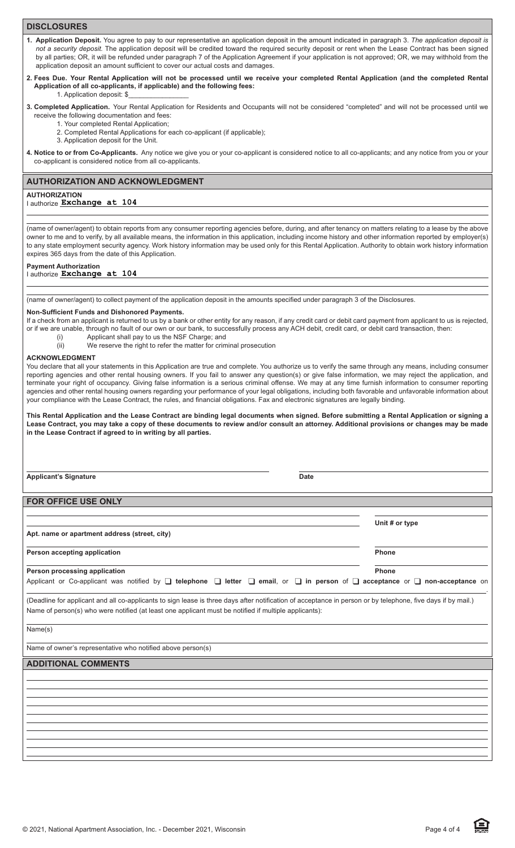# **DISCLOSURES**

- **1. Application Deposit.** You agree to pay to our representative an application deposit in the amount indicated in paragraph 3. *The application deposit is not a security deposit.* The application deposit will be credited toward the required security deposit or rent when the Lease Contract has been signed by all parties; OR, it will be refunded under paragraph 7 of the Application Agreement if your application is not approved; OR, we may withhold from the application deposit an amount sufficient to cover our actual costs and damages.
- **2. Fees Due. Your Rental Application will not be processed until we receive your completed Rental Application (and the completed Rental Application of all co-applicants, if applicable) and the following fees:** 1. Application deposit: \$\_\_\_\_\_\_\_\_\_\_\_\_\_\_\_\_
- **3. Completed Application.** Your Rental Application for Residents and Occupants will not be considered "completed" and will not be processed until we receive the following documentation and fees:
	- 1. Your completed Rental Application;
	- 2. Completed Rental Applications for each co-applicant (if applicable);
	- 3. Application deposit for the Unit.
- 4. Notice to or from Co-Applicants. Any notice we give you or your co-applicant is considered notice to all co-applicants; and any notice from you or your co-applicant is considered notice from all co-applicants.

### **AUTHORIZATION AND ACKNOWLEDGMENT**

#### **AUTHORIZATION**

### I authorize **Exchange at 104**

(name of owner/agent) to obtain reports from any consumer reporting agencies before, during, and after tenancy on matters relating to a lease by the above owner to me and to verify, by all available means, the information in this application, including income history and other information reported by employer(s) to any state employment security agency. Work history information may be used only for this Rental Application. Authority to obtain work history information expires 365 days from the date of this Application.

# **Payment Authorization**

# I authorize **Exchange at 104**

(name of owner/agent) to collect payment of the application deposit in the amounts specified under paragraph 3 of the Disclosures.

#### **Non-Sufficient Funds and Dishonored Payments.**

If a check from an applicant is returned to us by a bank or other entity for any reason, if any credit card or debit card payment from applicant to us is rejected, or if we are unable, through no fault of our own or our bank, to successfully process any ACH debit, credit card, or debit card transaction, then:

- (i) Applicant shall pay to us the NSF Charge; and
- (ii) We reserve the right to refer the matter for criminal prosecution

#### **ACKNOWLEDGMENT**

You declare that all your statements in this Application are true and complete. You authorize us to verify the same through any means, including consumer reporting agencies and other rental housing owners. If you fail to answer any question(s) or give false information, we may reject the application, and terminate your right of occupancy. Giving false information is a serious criminal offense. We may at any time furnish information to consumer reporting agencies and other rental housing owners regarding your performance of your legal obligations, including both favorable and unfavorable information about your compliance with the Lease Contract, the rules, and financial obligations. Fax and electronic signatures are legally binding.

**This Rental Application and the Lease Contract are binding legal documents when signed. Before submitting a Rental Application or signing a Lease Contract, you may take a copy of these documents to review and/or consult an attorney. Additional provisions or changes may be made in the Lease Contract if agreed to in writing by all parties.**

**Applicant's Signature Date** 

 $\overline{a}$ 

**Unit # or type**

**FOR OFFICE USE ONLY**

**Apt. name or apartment address (street, city)**

**Person accepting application Phone** 

 $\overline{a}$ **Person processing application example and the example of the example of the example of the example of the example of the example of the example of the example of the example of the example of the example of the example of** Applicant or Co-applicant was notified by q **telephone** q **letter** q **email**, or q **in person** of q **acceptance** or q **non-acceptance** on

(Deadline for applicant and all co-applicants to sign lease is three days after notification of acceptance in person or by telephone, five days if by mail.) Name of person(s) who were notified (at least one applicant must be notified if multiple applicants):

Name(s)

Name of owner's representative who notified above person(s)

# **ADDITIONAL COMMENTS**



.